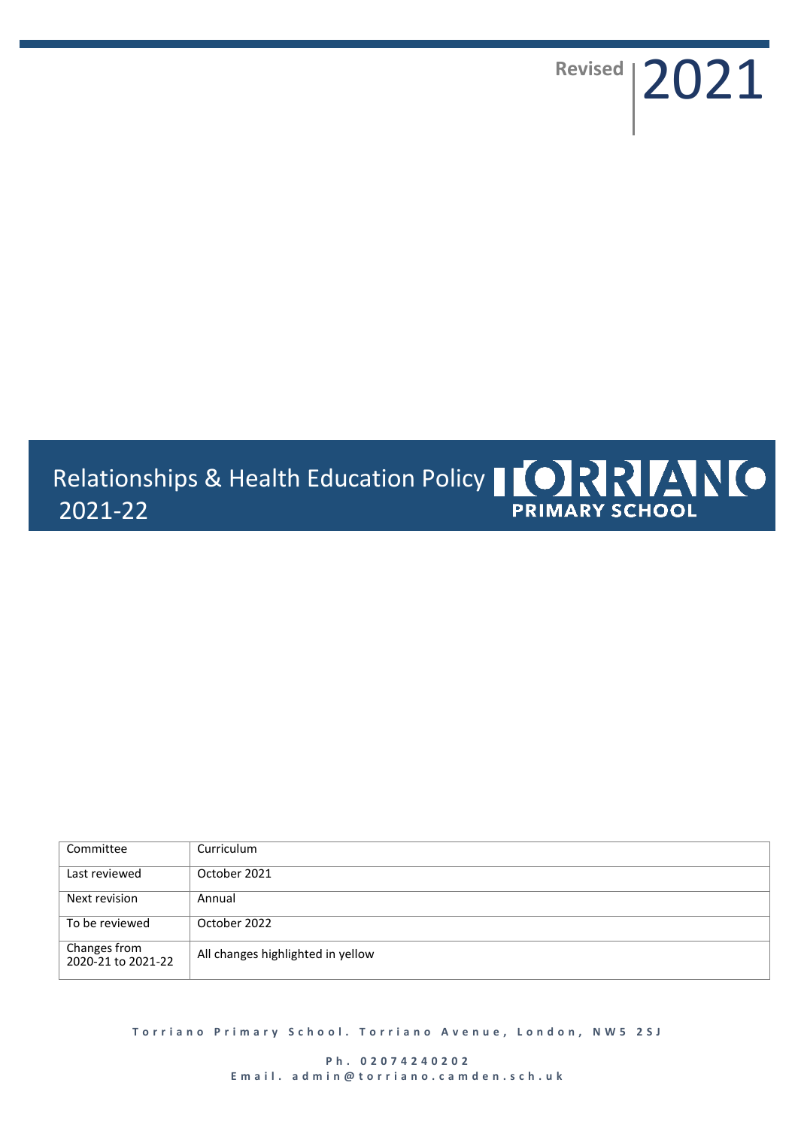Revised | 2021

# Relationships & Health Education Policy | 0 RRR MO 2021-22 **PRIMARY SCHOOL**

| Committee                          | Curriculum                        |
|------------------------------------|-----------------------------------|
| Last reviewed                      | October 2021                      |
| Next revision                      | Annual                            |
| To be reviewed                     | October 2022                      |
| Changes from<br>2020-21 to 2021-22 | All changes highlighted in yellow |

**Torriano Primary School. Torriano Avenue, London, NW5 2SJ** 

**P h . 0 2 0 7 4 2 4 0 2 0 2 E m a i l . a d m i n @ t o r r i a n o . c a m d e n . s c h . u k**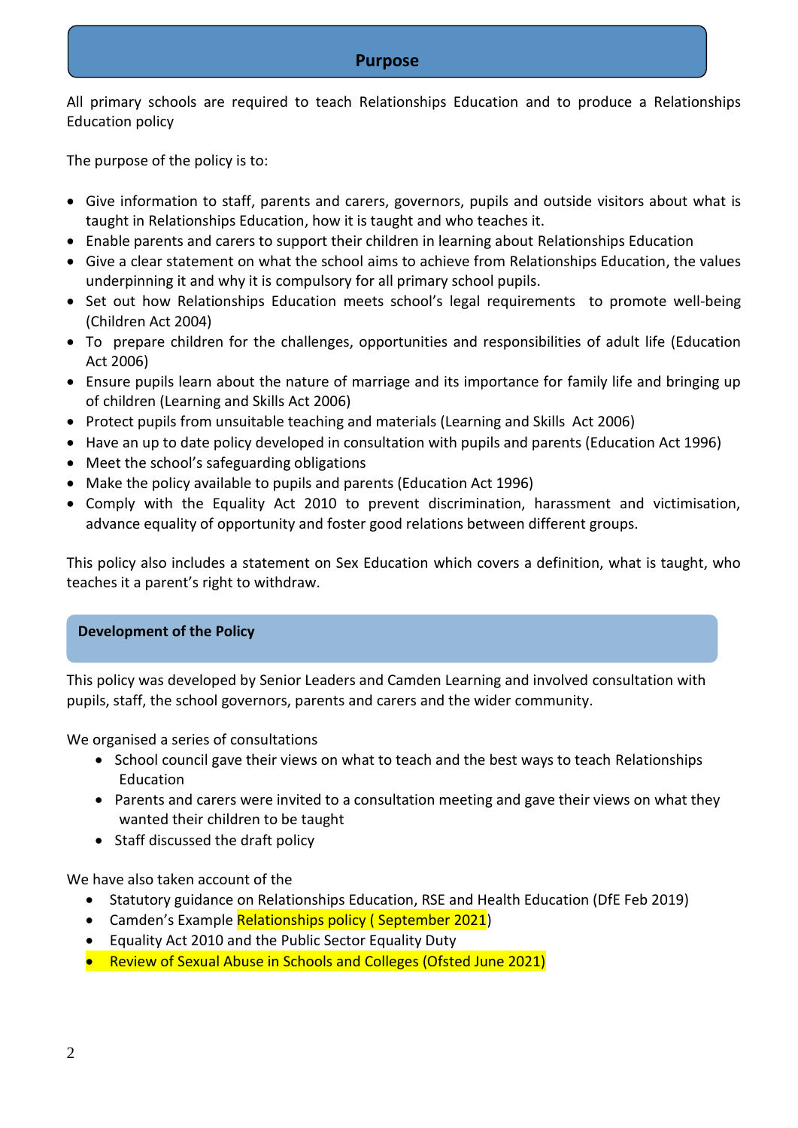# **Purpose**

All primary schools are required to teach Relationships Education and to produce a Relationships Education policy

The purpose of the policy is to:

- Give information to staff, parents and carers, governors, pupils and outside visitors about what is taught in Relationships Education, how it is taught and who teaches it.
- Enable parents and carers to support their children in learning about Relationships Education
- Give a clear statement on what the school aims to achieve from Relationships Education, the values underpinning it and why it is compulsory for all primary school pupils.
- Set out how Relationships Education meets school's legal requirements to promote well-being (Children Act 2004)
- To prepare children for the challenges, opportunities and responsibilities of adult life (Education Act 2006)
- Ensure pupils learn about the nature of marriage and its importance for family life and bringing up of children (Learning and Skills Act 2006)
- Protect pupils from unsuitable teaching and materials (Learning and Skills Act 2006)
- Have an up to date policy developed in consultation with pupils and parents (Education Act 1996)
- Meet the school's safeguarding obligations
- Make the policy available to pupils and parents (Education Act 1996)
- Comply with the Equality Act 2010 to prevent discrimination, harassment and victimisation, advance equality of opportunity and foster good relations between different groups.

This policy also includes a statement on Sex Education which covers a definition, what is taught, who teaches it a parent's right to withdraw.

# **Development of the Policy**

This policy was developed by Senior Leaders and Camden Learning and involved consultation with pupils, staff, the school governors, parents and carers and the wider community.

We organised a series of consultations

- School council gave their views on what to teach and the best ways to teach Relationships Education
- Parents and carers were invited to a consultation meeting and gave their views on what they wanted their children to be taught
- Staff discussed the draft policy

We have also taken account of the

- Statutory guidance on Relationships Education, RSE and Health Education (DfE Feb 2019)
- Camden's Example Relationships policy (September 2021)
- Equality Act 2010 and the Public Sector Equality Duty
- Review of Sexual Abuse in Schools and Colleges (Ofsted June 2021)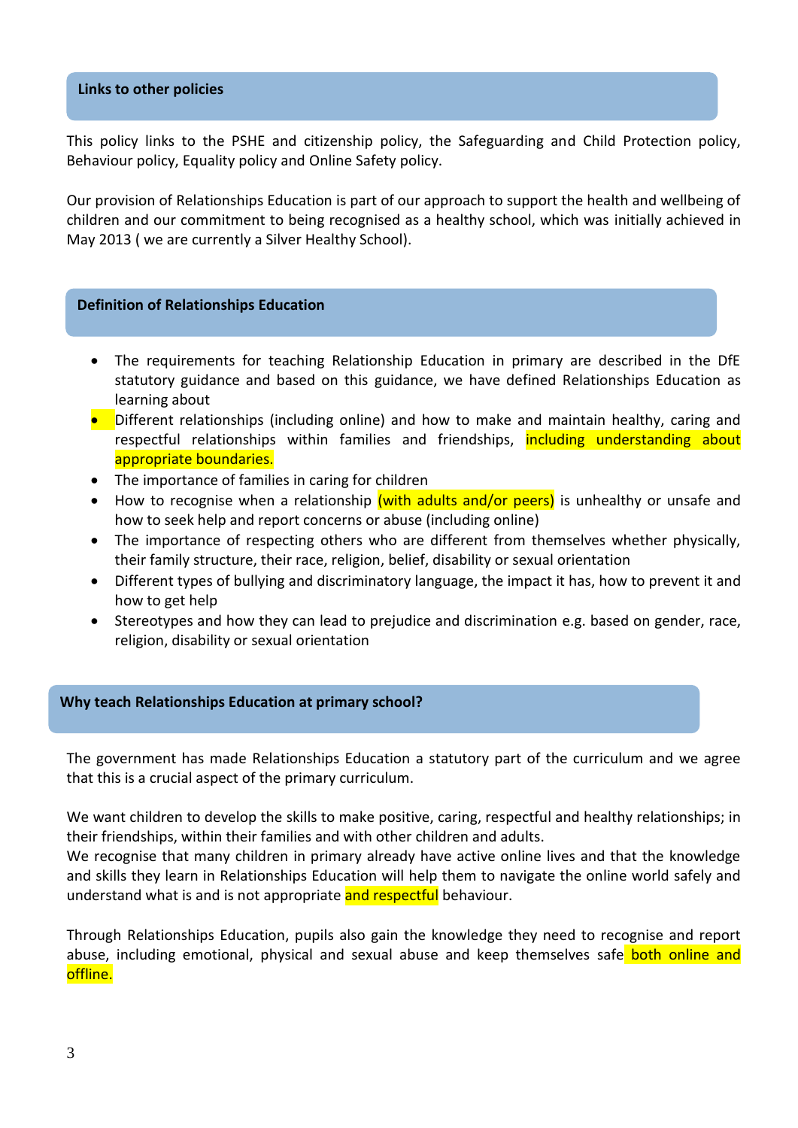### **Links to other policies**

This policy links to the PSHE and citizenship policy, the Safeguarding and Child Protection policy, Behaviour policy, Equality policy and Online Safety policy.

Our provision of Relationships Education is part of our approach to support the health and wellbeing of children and our commitment to being recognised as a healthy school, which was initially achieved in May 2013 ( we are currently a Silver Healthy School).

#### **Definition of Relationships Education**

- The requirements for teaching Relationship Education in primary are described in the DfE statutory guidance and based on this guidance, we have defined Relationships Education as learning about
- **•** Different relationships (including online) and how to make and maintain healthy, caring and respectful relationships within families and friendships, including understanding about appropriate boundaries.
- The importance of families in caring for children
- How to recognise when a relationship (with adults and/or peers) is unhealthy or unsafe and how to seek help and report concerns or abuse (including online)
- The importance of respecting others who are different from themselves whether physically, their family structure, their race, religion, belief, disability or sexual orientation
- Different types of bullying and discriminatory language, the impact it has, how to prevent it and how to get help
- Stereotypes and how they can lead to prejudice and discrimination e.g. based on gender, race, religion, disability or sexual orientation

# **Why teach Relationships Education at primary school?**

The government has made Relationships Education a statutory part of the curriculum and we agree that this is a crucial aspect of the primary curriculum.

We want children to develop the skills to make positive, caring, respectful and healthy relationships; in their friendships, within their families and with other children and adults.

We recognise that many children in primary already have active online lives and that the knowledge and skills they learn in Relationships Education will help them to navigate the online world safely and understand what is and is not appropriate and respectful behaviour.

Through Relationships Education, pupils also gain the knowledge they need to recognise and report abuse, including emotional, physical and sexual abuse and keep themselves safe both online and offline.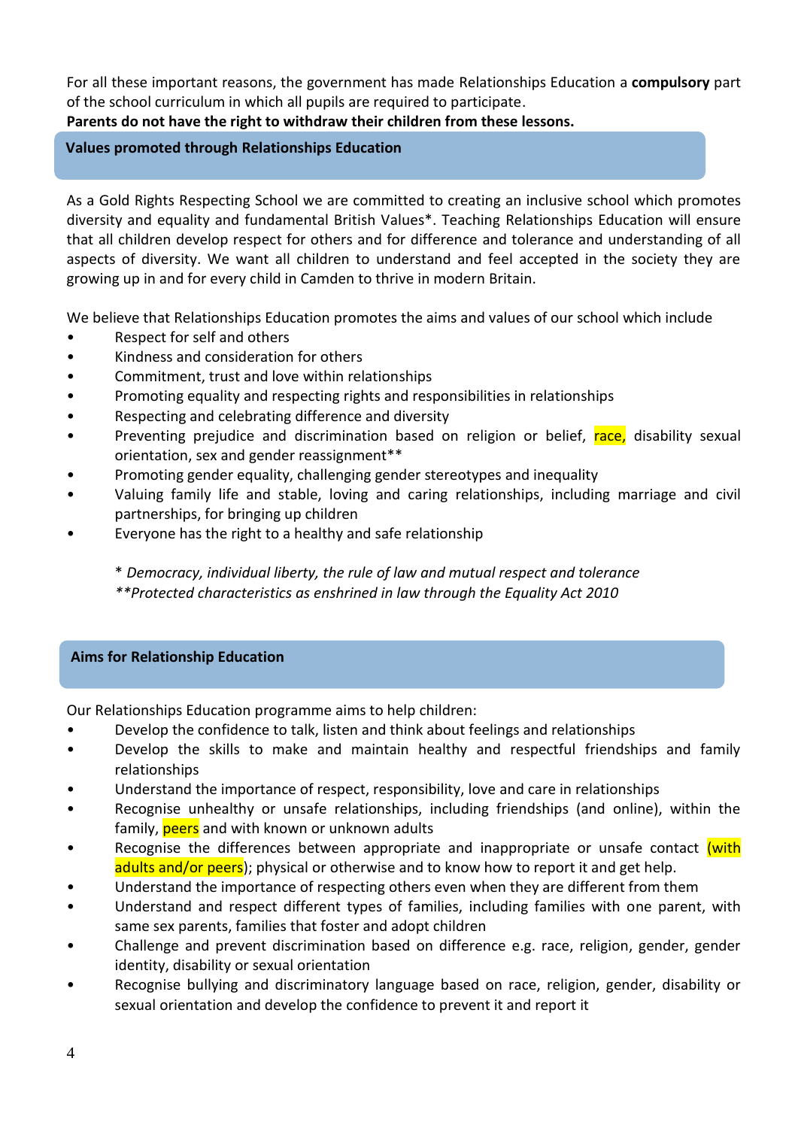For all these important reasons, the government has made Relationships Education a **compulsory** part of the school curriculum in which all pupils are required to participate.

**Parents do not have the right to withdraw their children from these lessons.** 

# **Values promoted through Relationships Education**

As a Gold Rights Respecting School we are committed to creating an inclusive school which promotes diversity and equality and fundamental British Values\*. Teaching Relationships Education will ensure that all children develop respect for others and for difference and tolerance and understanding of all aspects of diversity. We want all children to understand and feel accepted in the society they are growing up in and for every child in Camden to thrive in modern Britain.

We believe that Relationships Education promotes the aims and values of our school which include

- Respect for self and others
- Kindness and consideration for others
- Commitment, trust and love within relationships
- Promoting equality and respecting rights and responsibilities in relationships
- Respecting and celebrating difference and diversity
- Preventing prejudice and discrimination based on religion or belief, race, disability sexual orientation, sex and gender reassignment\*\*
- Promoting gender equality, challenging gender stereotypes and inequality
- Valuing family life and stable, loving and caring relationships, including marriage and civil partnerships, for bringing up children
- Everyone has the right to a healthy and safe relationship

\* *Democracy, individual liberty, the rule of law and mutual respect and tolerance \*\*Protected characteristics as enshrined in law through the Equality Act 2010*

# **Aims for Relationship Education**

Our Relationships Education programme aims to help children:

- Develop the confidence to talk, listen and think about feelings and relationships
- Develop the skills to make and maintain healthy and respectful friendships and family relationships
- Understand the importance of respect, responsibility, love and care in relationships
- Recognise unhealthy or unsafe relationships, including friendships (and online), within the family, **peers** and with known or unknown adults
- Recognise the differences between appropriate and inappropriate or unsafe contact (with adults and/or peers); physical or otherwise and to know how to report it and get help.
- Understand the importance of respecting others even when they are different from them
- Understand and respect different types of families, including families with one parent, with same sex parents, families that foster and adopt children
- Challenge and prevent discrimination based on difference e.g. race, religion, gender, gender identity, disability or sexual orientation
- Recognise bullying and discriminatory language based on race, religion, gender, disability or sexual orientation and develop the confidence to prevent it and report it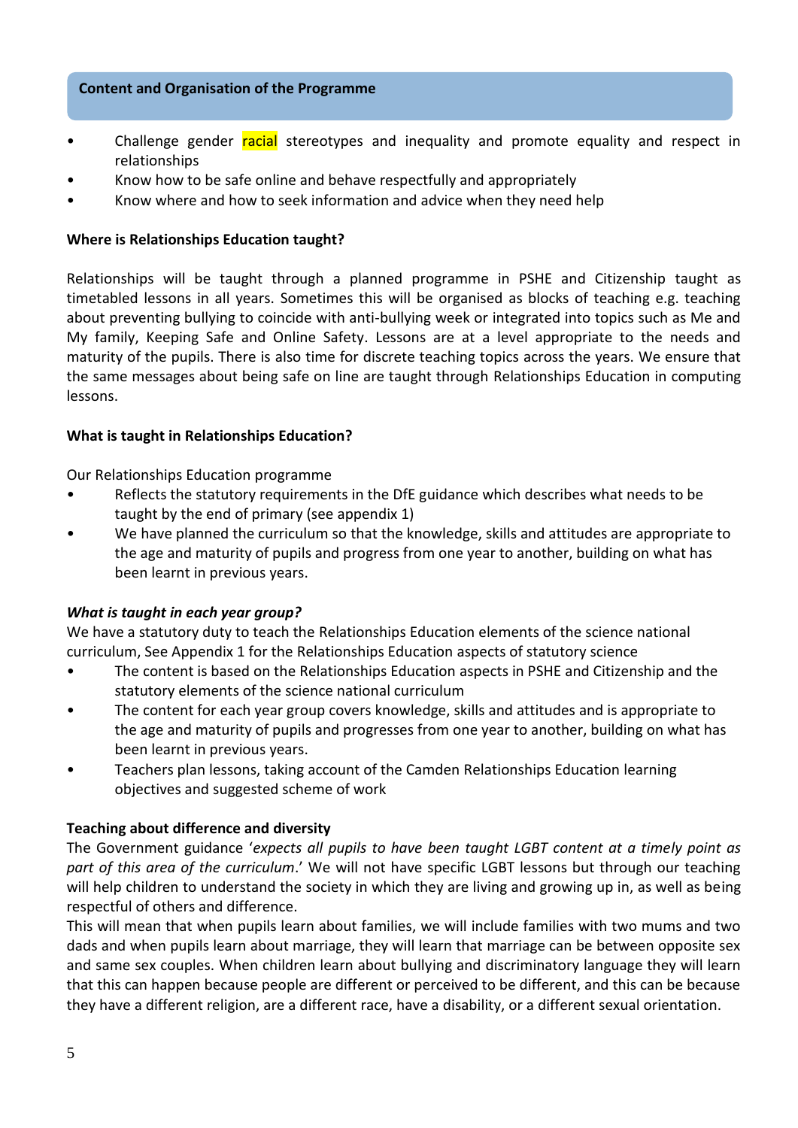# **Content and Organisation of the Programme**

- Challenge gender racial stereotypes and inequality and promote equality and respect in relationships
- Know how to be safe online and behave respectfully and appropriately
- Know where and how to seek information and advice when they need help

# **Where is Relationships Education taught?**

Relationships will be taught through a planned programme in PSHE and Citizenship taught as timetabled lessons in all years. Sometimes this will be organised as blocks of teaching e.g. teaching about preventing bullying to coincide with anti-bullying week or integrated into topics such as Me and My family, Keeping Safe and Online Safety. Lessons are at a level appropriate to the needs and maturity of the pupils. There is also time for discrete teaching topics across the years. We ensure that the same messages about being safe on line are taught through Relationships Education in computing lessons.

### **What is taught in Relationships Education?**

Our Relationships Education programme

- Reflects the statutory requirements in the DfE guidance which describes what needs to be taught by the end of primary (see appendix 1)
- We have planned the curriculum so that the knowledge, skills and attitudes are appropriate to the age and maturity of pupils and progress from one year to another, building on what has been learnt in previous years.

# *What is taught in each year group?*

We have a statutory duty to teach the Relationships Education elements of the science national curriculum, See Appendix 1 for the Relationships Education aspects of statutory science

- The content is based on the Relationships Education aspects in PSHE and Citizenship and the statutory elements of the science national curriculum
- The content for each year group covers knowledge, skills and attitudes and is appropriate to the age and maturity of pupils and progresses from one year to another, building on what has been learnt in previous years.
- Teachers plan lessons, taking account of the Camden Relationships Education learning objectives and suggested scheme of work

# **Teaching about difference and diversity**

The Government guidance '*expects all pupils to have been taught LGBT content at a timely point as part of this area of the curriculum*.' We will not have specific LGBT lessons but through our teaching will help children to understand the society in which they are living and growing up in, as well as being respectful of others and difference.

This will mean that when pupils learn about families, we will include families with two mums and two dads and when pupils learn about marriage, they will learn that marriage can be between opposite sex and same sex couples. When children learn about bullying and discriminatory language they will learn that this can happen because people are different or perceived to be different, and this can be because they have a different religion, are a different race, have a disability, or a different sexual orientation.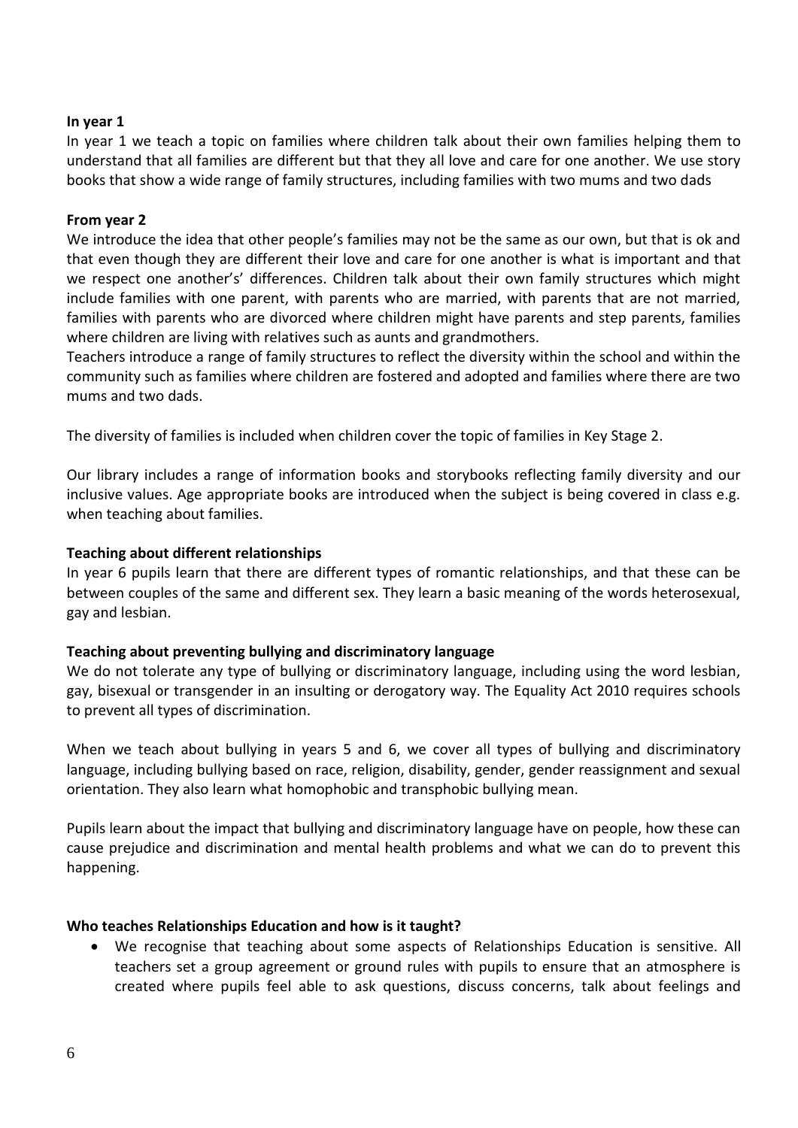# **In year 1**

In year 1 we teach a topic on families where children talk about their own families helping them to understand that all families are different but that they all love and care for one another. We use story books that show a wide range of family structures, including families with two mums and two dads

# **From year 2**

We introduce the idea that other people's families may not be the same as our own, but that is ok and that even though they are different their love and care for one another is what is important and that we respect one another's' differences. Children talk about their own family structures which might include families with one parent, with parents who are married, with parents that are not married, families with parents who are divorced where children might have parents and step parents, families where children are living with relatives such as aunts and grandmothers.

Teachers introduce a range of family structures to reflect the diversity within the school and within the community such as families where children are fostered and adopted and families where there are two mums and two dads.

The diversity of families is included when children cover the topic of families in Key Stage 2.

Our library includes a range of information books and storybooks reflecting family diversity and our inclusive values. Age appropriate books are introduced when the subject is being covered in class e.g. when teaching about families.

# **Teaching about different relationships**

In year 6 pupils learn that there are different types of romantic relationships, and that these can be between couples of the same and different sex. They learn a basic meaning of the words heterosexual, gay and lesbian.

# **Teaching about preventing bullying and discriminatory language**

We do not tolerate any type of bullying or discriminatory language, including using the word lesbian, gay, bisexual or transgender in an insulting or derogatory way. The Equality Act 2010 requires schools to prevent all types of discrimination.

When we teach about bullying in years 5 and 6, we cover all types of bullying and discriminatory language, including bullying based on race, religion, disability, gender, gender reassignment and sexual orientation. They also learn what homophobic and transphobic bullying mean.

Pupils learn about the impact that bullying and discriminatory language have on people, how these can cause prejudice and discrimination and mental health problems and what we can do to prevent this happening.

# **Who teaches Relationships Education and how is it taught?**

 We recognise that teaching about some aspects of Relationships Education is sensitive. All teachers set a group agreement or ground rules with pupils to ensure that an atmosphere is created where pupils feel able to ask questions, discuss concerns, talk about feelings and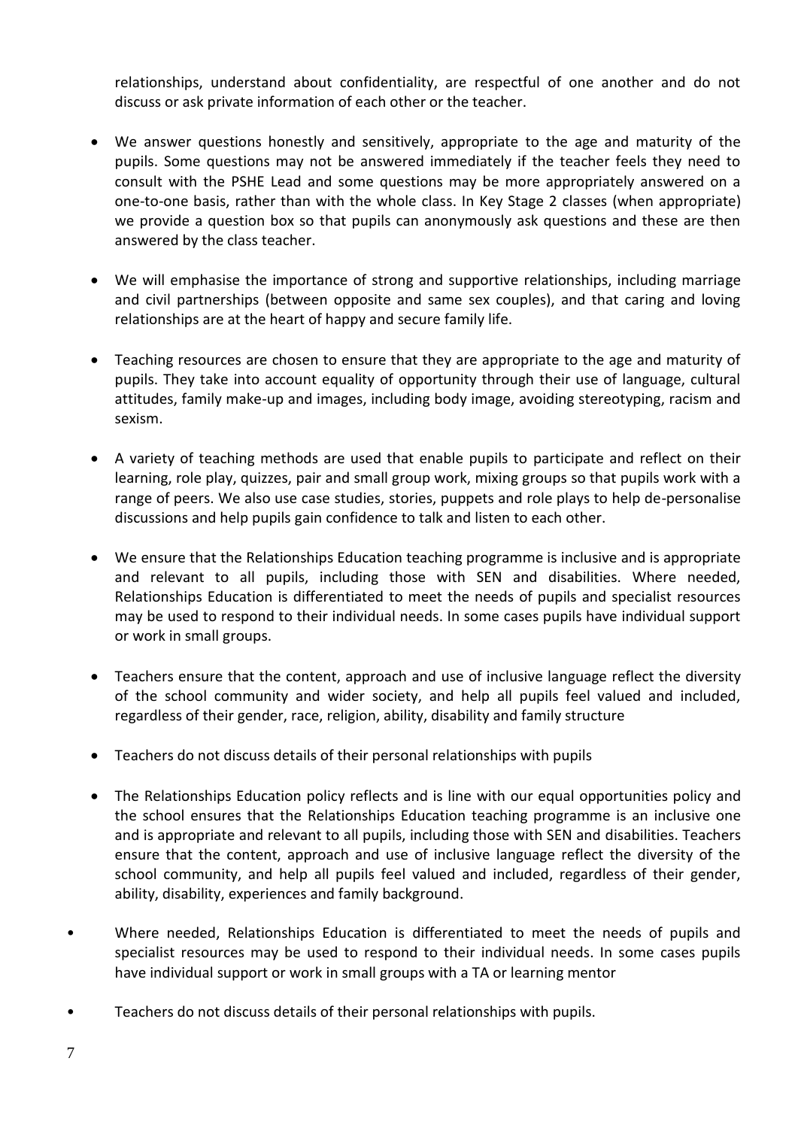relationships, understand about confidentiality, are respectful of one another and do not discuss or ask private information of each other or the teacher.

- We answer questions honestly and sensitively, appropriate to the age and maturity of the pupils. Some questions may not be answered immediately if the teacher feels they need to consult with the PSHE Lead and some questions may be more appropriately answered on a one-to-one basis, rather than with the whole class. In Key Stage 2 classes (when appropriate) we provide a question box so that pupils can anonymously ask questions and these are then answered by the class teacher.
- We will emphasise the importance of strong and supportive relationships, including marriage and civil partnerships (between opposite and same sex couples), and that caring and loving relationships are at the heart of happy and secure family life.
- Teaching resources are chosen to ensure that they are appropriate to the age and maturity of pupils. They take into account equality of opportunity through their use of language, cultural attitudes, family make-up and images, including body image, avoiding stereotyping, racism and sexism.
- A variety of teaching methods are used that enable pupils to participate and reflect on their learning, role play, quizzes, pair and small group work, mixing groups so that pupils work with a range of peers. We also use case studies, stories, puppets and role plays to help de-personalise discussions and help pupils gain confidence to talk and listen to each other.
- We ensure that the Relationships Education teaching programme is inclusive and is appropriate and relevant to all pupils, including those with SEN and disabilities. Where needed, Relationships Education is differentiated to meet the needs of pupils and specialist resources may be used to respond to their individual needs. In some cases pupils have individual support or work in small groups.
- Teachers ensure that the content, approach and use of inclusive language reflect the diversity of the school community and wider society, and help all pupils feel valued and included, regardless of their gender, race, religion, ability, disability and family structure
- Teachers do not discuss details of their personal relationships with pupils
- The Relationships Education policy reflects and is line with our equal opportunities policy and the school ensures that the Relationships Education teaching programme is an inclusive one and is appropriate and relevant to all pupils, including those with SEN and disabilities. Teachers ensure that the content, approach and use of inclusive language reflect the diversity of the school community, and help all pupils feel valued and included, regardless of their gender, ability, disability, experiences and family background.
- Where needed, Relationships Education is differentiated to meet the needs of pupils and specialist resources may be used to respond to their individual needs. In some cases pupils have individual support or work in small groups with a TA or learning mentor
- Teachers do not discuss details of their personal relationships with pupils.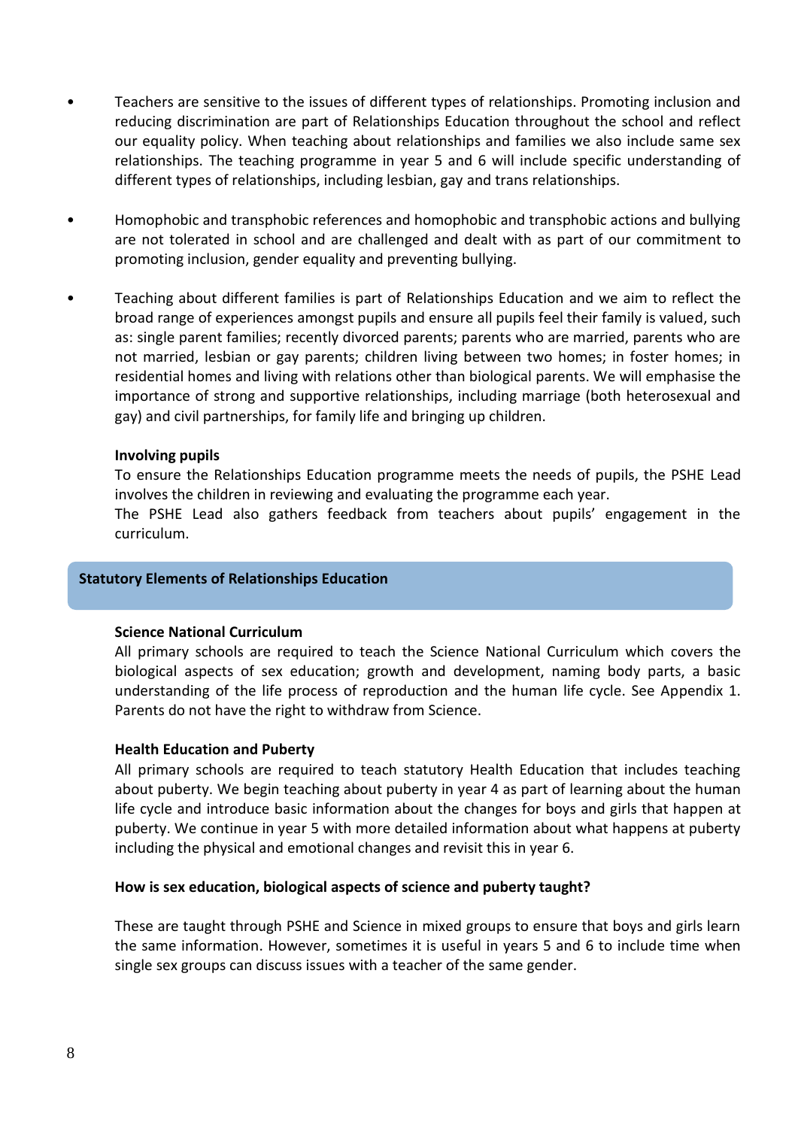- Teachers are sensitive to the issues of different types of relationships. Promoting inclusion and reducing discrimination are part of Relationships Education throughout the school and reflect our equality policy. When teaching about relationships and families we also include same sex relationships. The teaching programme in year 5 and 6 will include specific understanding of different types of relationships, including lesbian, gay and trans relationships.
- Homophobic and transphobic references and homophobic and transphobic actions and bullying are not tolerated in school and are challenged and dealt with as part of our commitment to promoting inclusion, gender equality and preventing bullying.
- Teaching about different families is part of Relationships Education and we aim to reflect the broad range of experiences amongst pupils and ensure all pupils feel their family is valued, such as: single parent families; recently divorced parents; parents who are married, parents who are not married, lesbian or gay parents; children living between two homes; in foster homes; in residential homes and living with relations other than biological parents. We will emphasise the importance of strong and supportive relationships, including marriage (both heterosexual and gay) and civil partnerships, for family life and bringing up children.

### **Involving pupils**

To ensure the Relationships Education programme meets the needs of pupils, the PSHE Lead involves the children in reviewing and evaluating the programme each year.

The PSHE Lead also gathers feedback from teachers about pupils' engagement in the curriculum.

### **Statutory Elements of Relationships Education**

#### **Science National Curriculum**

All primary schools are required to teach the Science National Curriculum which covers the biological aspects of sex education; growth and development, naming body parts, a basic understanding of the life process of reproduction and the human life cycle. See Appendix 1. Parents do not have the right to withdraw from Science.

#### **Health Education and Puberty**

All primary schools are required to teach statutory Health Education that includes teaching about puberty. We begin teaching about puberty in year 4 as part of learning about the human life cycle and introduce basic information about the changes for boys and girls that happen at puberty. We continue in year 5 with more detailed information about what happens at puberty including the physical and emotional changes and revisit this in year 6.

#### **How is sex education, biological aspects of science and puberty taught?**

These are taught through PSHE and Science in mixed groups to ensure that boys and girls learn the same information. However, sometimes it is useful in years 5 and 6 to include time when single sex groups can discuss issues with a teacher of the same gender.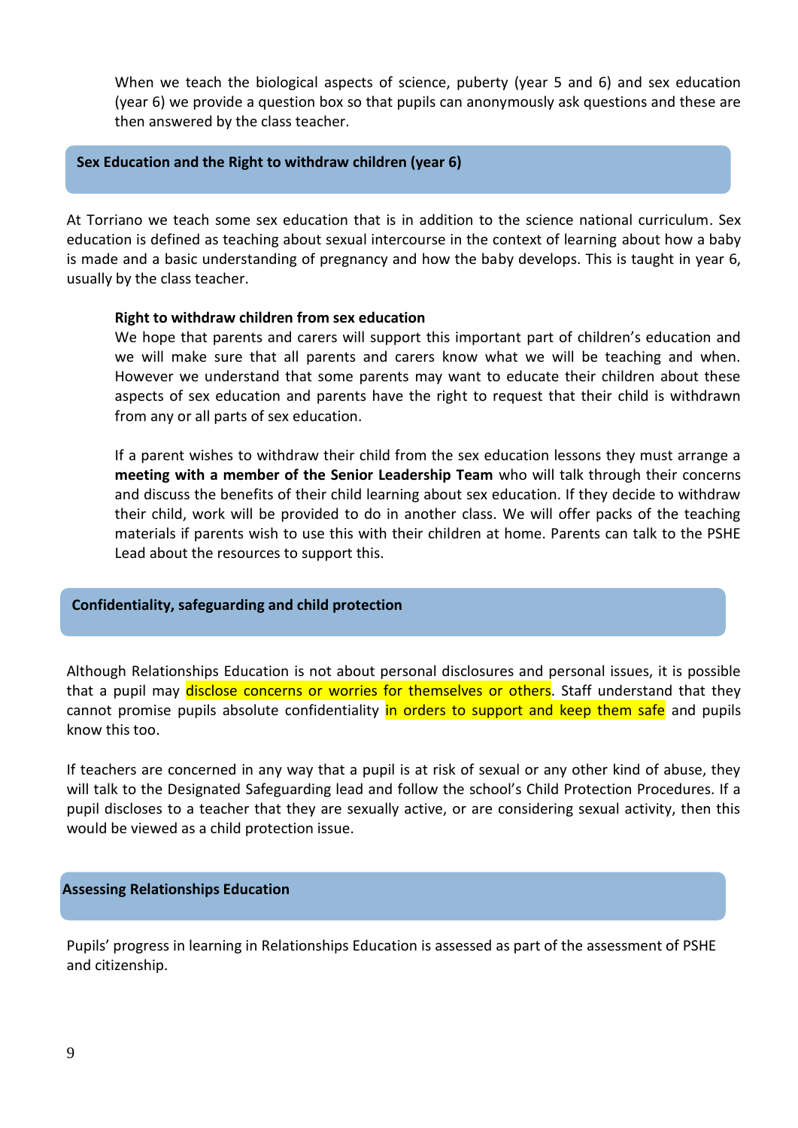When we teach the biological aspects of science, puberty (year 5 and 6) and sex education (year 6) we provide a question box so that pupils can anonymously ask questions and these are then answered by the class teacher.

#### **Sex Education and the Right to withdraw children (year 6)**

At Torriano we teach some sex education that is in addition to the science national curriculum. Sex education is defined as teaching about sexual intercourse in the context of learning about how a baby is made and a basic understanding of pregnancy and how the baby develops. This is taught in year 6, usually by the class teacher.

#### **Right to withdraw children from sex education**

We hope that parents and carers will support this important part of children's education and we will make sure that all parents and carers know what we will be teaching and when. However we understand that some parents may want to educate their children about these aspects of sex education and parents have the right to request that their child is withdrawn from any or all parts of sex education.

If a parent wishes to withdraw their child from the sex education lessons they must arrange a **meeting with a member of the Senior Leadership Team** who will talk through their concerns and discuss the benefits of their child learning about sex education. If they decide to withdraw their child, work will be provided to do in another class. We will offer packs of the teaching materials if parents wish to use this with their children at home. Parents can talk to the PSHE Lead about the resources to support this.

#### **Confidentiality, safeguarding and child protection**

Although Relationships Education is not about personal disclosures and personal issues, it is possible that a pupil may disclose concerns or worries for themselves or others. Staff understand that they cannot promise pupils absolute confidentiality in orders to support and keep them safe and pupils know this too.

If teachers are concerned in any way that a pupil is at risk of sexual or any other kind of abuse, they will talk to the Designated Safeguarding lead and follow the school's Child Protection Procedures. If a pupil discloses to a teacher that they are sexually active, or are considering sexual activity, then this would be viewed as a child protection issue.

#### **Assessing Relationships Education**

Pupils' progress in learning in Relationships Education is assessed as part of the assessment of PSHE and citizenship.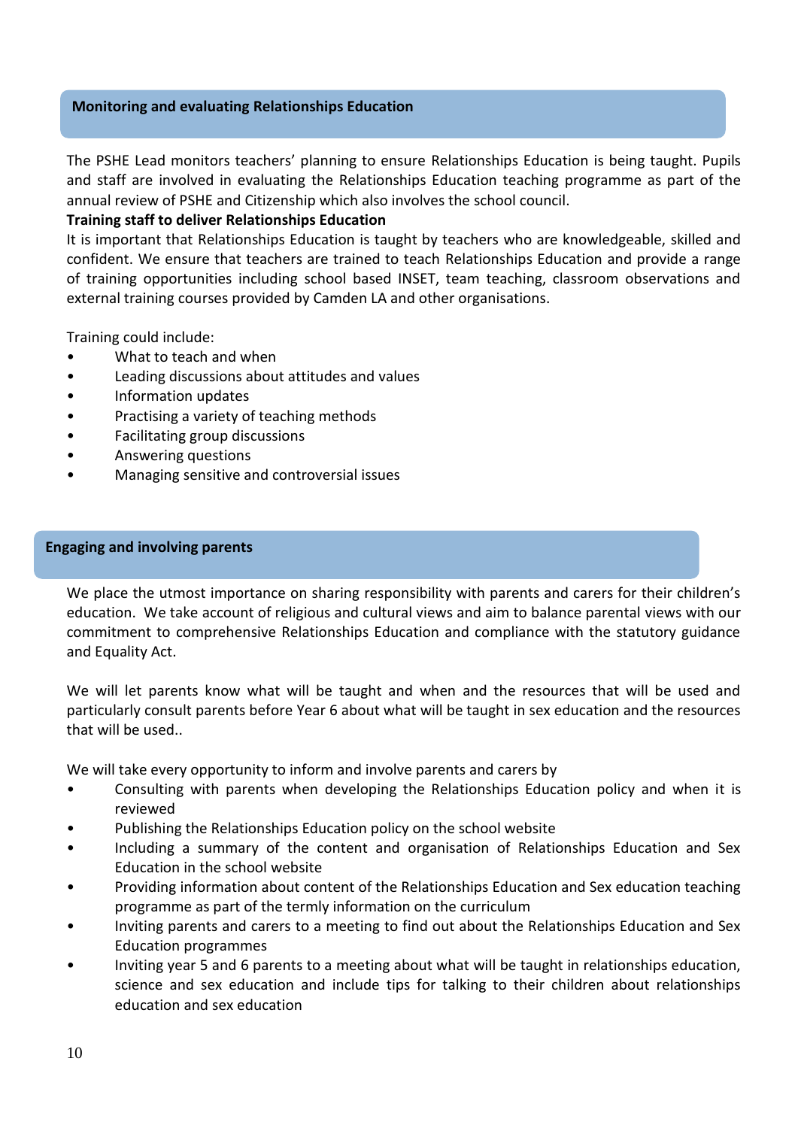# **Monitoring and evaluating Relationships Education**

The PSHE Lead monitors teachers' planning to ensure Relationships Education is being taught. Pupils and staff are involved in evaluating the Relationships Education teaching programme as part of the annual review of PSHE and Citizenship which also involves the school council.

# **Training staff to deliver Relationships Education**

It is important that Relationships Education is taught by teachers who are knowledgeable, skilled and confident. We ensure that teachers are trained to teach Relationships Education and provide a range of training opportunities including school based INSET, team teaching, classroom observations and external training courses provided by Camden LA and other organisations.

Training could include:

- What to teach and when
- Leading discussions about attitudes and values
- Information updates
- Practising a variety of teaching methods
- Facilitating group discussions
- Answering questions
- Managing sensitive and controversial issues

### **Engaging and involving parents**

We place the utmost importance on sharing responsibility with parents and carers for their children's education. We take account of religious and cultural views and aim to balance parental views with our commitment to comprehensive Relationships Education and compliance with the statutory guidance and Equality Act.

We will let parents know what will be taught and when and the resources that will be used and particularly consult parents before Year 6 about what will be taught in sex education and the resources that will be used..

We will take every opportunity to inform and involve parents and carers by

- Consulting with parents when developing the Relationships Education policy and when it is reviewed
- Publishing the Relationships Education policy on the school website
- Including a summary of the content and organisation of Relationships Education and Sex Education in the school website
- Providing information about content of the Relationships Education and Sex education teaching programme as part of the termly information on the curriculum
- Inviting parents and carers to a meeting to find out about the Relationships Education and Sex Education programmes
- Inviting year 5 and 6 parents to a meeting about what will be taught in relationships education, science and sex education and include tips for talking to their children about relationships education and sex education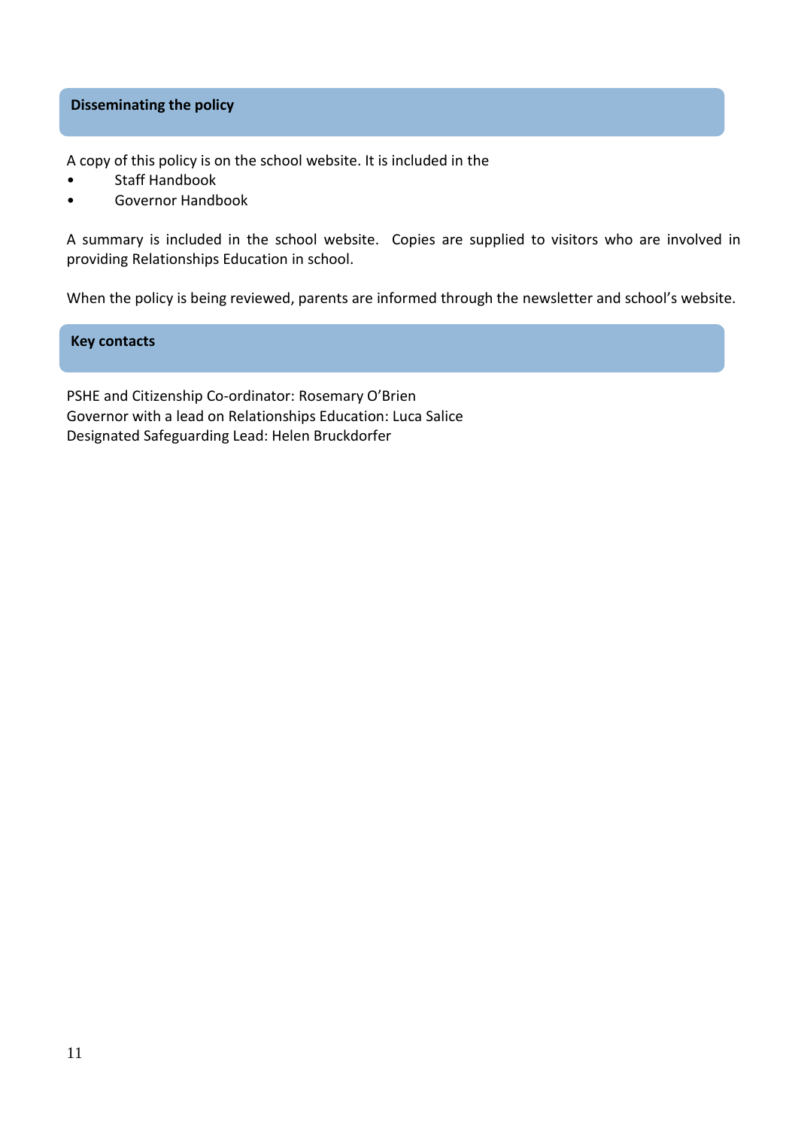# **Disseminating the policy**

A copy of this policy is on the school website. It is included in the

- Staff Handbook
- Governor Handbook

A summary is included in the school website. Copies are supplied to visitors who are involved in providing Relationships Education in school.

When the policy is being reviewed, parents are informed through the newsletter and school's website.

### **Key contacts**

PSHE and Citizenship Co-ordinator: Rosemary O'Brien Governor with a lead on Relationships Education: Luca Salice Designated Safeguarding Lead: Helen Bruckdorfer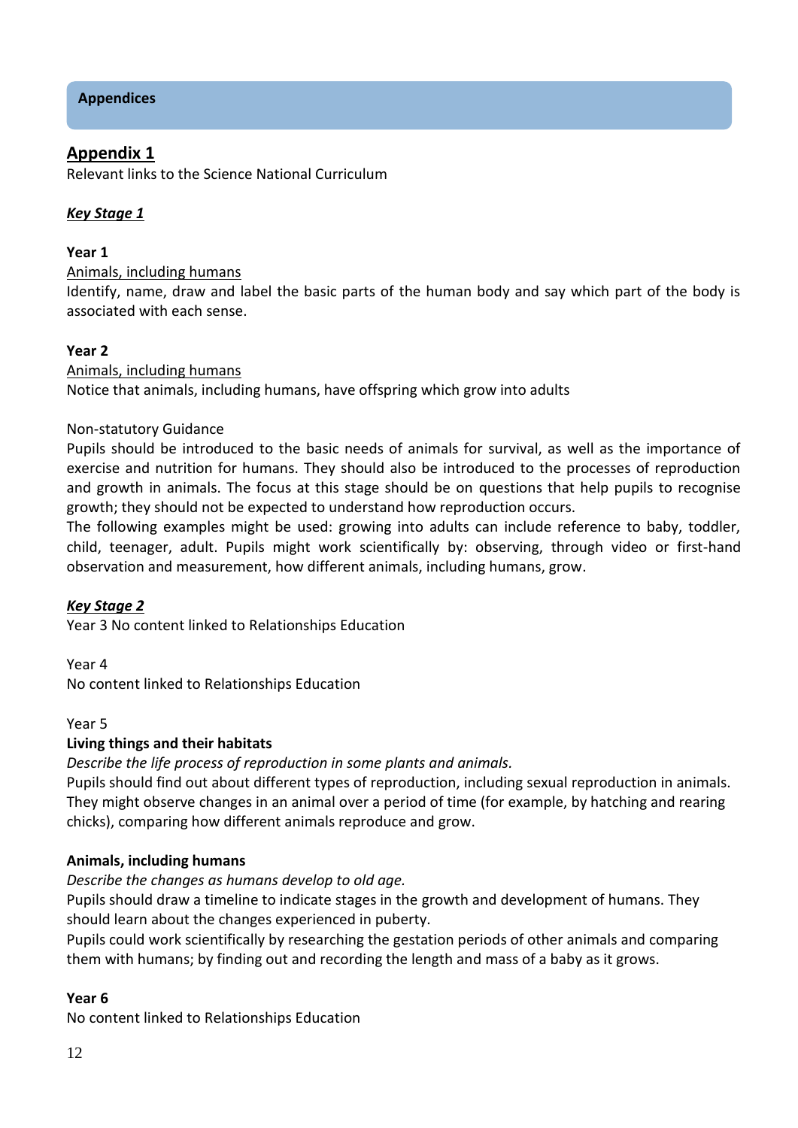# **Appendices**

# **Appendix 1**

Relevant links to the Science National Curriculum

# *Key Stage 1*

# **Year 1**

# Animals, including humans

Identify, name, draw and label the basic parts of the human body and say which part of the body is associated with each sense.

# **Year 2**

# Animals, including humans

Notice that animals, including humans, have offspring which grow into adults

# Non-statutory Guidance

Pupils should be introduced to the basic needs of animals for survival, as well as the importance of exercise and nutrition for humans. They should also be introduced to the processes of reproduction and growth in animals. The focus at this stage should be on questions that help pupils to recognise growth; they should not be expected to understand how reproduction occurs.

The following examples might be used: growing into adults can include reference to baby, toddler, child, teenager, adult. Pupils might work scientifically by: observing, through video or first-hand observation and measurement, how different animals, including humans, grow.

# *Key Stage 2*

Year 3 No content linked to Relationships Education

Year 4 No content linked to Relationships Education

Year 5

# **Living things and their habitats**

*Describe the life process of reproduction in some plants and animals.*

Pupils should find out about different types of reproduction, including sexual reproduction in animals. They might observe changes in an animal over a period of time (for example, by hatching and rearing chicks), comparing how different animals reproduce and grow.

# **Animals, including humans**

*Describe the changes as humans develop to old age.* 

Pupils should draw a timeline to indicate stages in the growth and development of humans. They should learn about the changes experienced in puberty.

Pupils could work scientifically by researching the gestation periods of other animals and comparing them with humans; by finding out and recording the length and mass of a baby as it grows.

# **Year 6**

No content linked to Relationships Education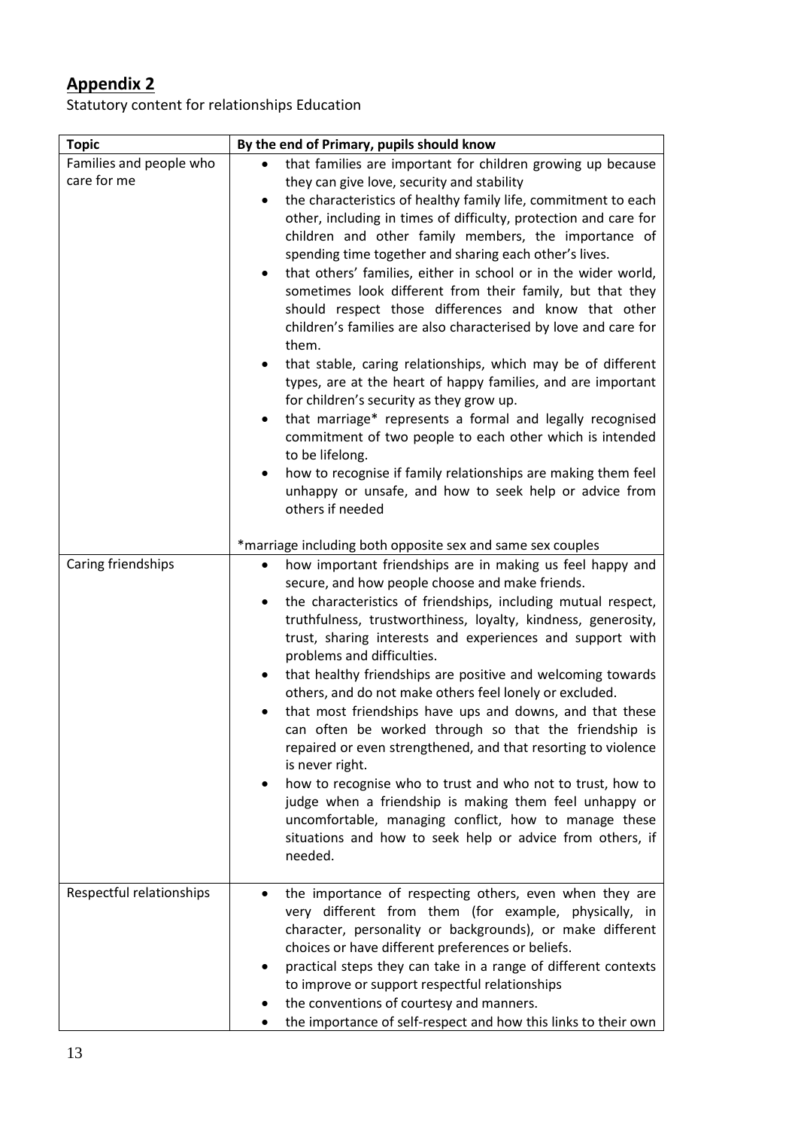# **Appendix 2**

Statutory content for relationships Education

| <b>Topic</b>                           | By the end of Primary, pupils should know                                                                                                                                                                                                                                                                                                                                                                                                                                                                                                                                                                                                                                                                                                                                                                                                                                                                                                                                                                                                                                                                                                          |
|----------------------------------------|----------------------------------------------------------------------------------------------------------------------------------------------------------------------------------------------------------------------------------------------------------------------------------------------------------------------------------------------------------------------------------------------------------------------------------------------------------------------------------------------------------------------------------------------------------------------------------------------------------------------------------------------------------------------------------------------------------------------------------------------------------------------------------------------------------------------------------------------------------------------------------------------------------------------------------------------------------------------------------------------------------------------------------------------------------------------------------------------------------------------------------------------------|
| Families and people who<br>care for me | that families are important for children growing up because<br>they can give love, security and stability<br>the characteristics of healthy family life, commitment to each<br>other, including in times of difficulty, protection and care for<br>children and other family members, the importance of<br>spending time together and sharing each other's lives.<br>that others' families, either in school or in the wider world,<br>$\bullet$<br>sometimes look different from their family, but that they<br>should respect those differences and know that other<br>children's families are also characterised by love and care for<br>them.<br>that stable, caring relationships, which may be of different<br>$\bullet$<br>types, are at the heart of happy families, and are important<br>for children's security as they grow up.<br>that marriage* represents a formal and legally recognised<br>$\bullet$<br>commitment of two people to each other which is intended<br>to be lifelong.<br>how to recognise if family relationships are making them feel<br>unhappy or unsafe, and how to seek help or advice from<br>others if needed |
|                                        | *marriage including both opposite sex and same sex couples                                                                                                                                                                                                                                                                                                                                                                                                                                                                                                                                                                                                                                                                                                                                                                                                                                                                                                                                                                                                                                                                                         |
| Caring friendships                     | how important friendships are in making us feel happy and<br>$\bullet$<br>secure, and how people choose and make friends.<br>the characteristics of friendships, including mutual respect,<br>truthfulness, trustworthiness, loyalty, kindness, generosity,<br>trust, sharing interests and experiences and support with<br>problems and difficulties.<br>that healthy friendships are positive and welcoming towards<br>٠<br>others, and do not make others feel lonely or excluded.<br>that most friendships have ups and downs, and that these<br>can often be worked through so that the friendship is<br>repaired or even strengthened, and that resorting to violence<br>is never right.<br>how to recognise who to trust and who not to trust, how to<br>judge when a friendship is making them feel unhappy or<br>uncomfortable, managing conflict, how to manage these<br>situations and how to seek help or advice from others, if<br>needed.                                                                                                                                                                                            |
| Respectful relationships               | the importance of respecting others, even when they are<br>٠<br>very different from them (for example, physically, in<br>character, personality or backgrounds), or make different<br>choices or have different preferences or beliefs.<br>practical steps they can take in a range of different contexts<br>to improve or support respectful relationships<br>the conventions of courtesy and manners.<br>the importance of self-respect and how this links to their own                                                                                                                                                                                                                                                                                                                                                                                                                                                                                                                                                                                                                                                                          |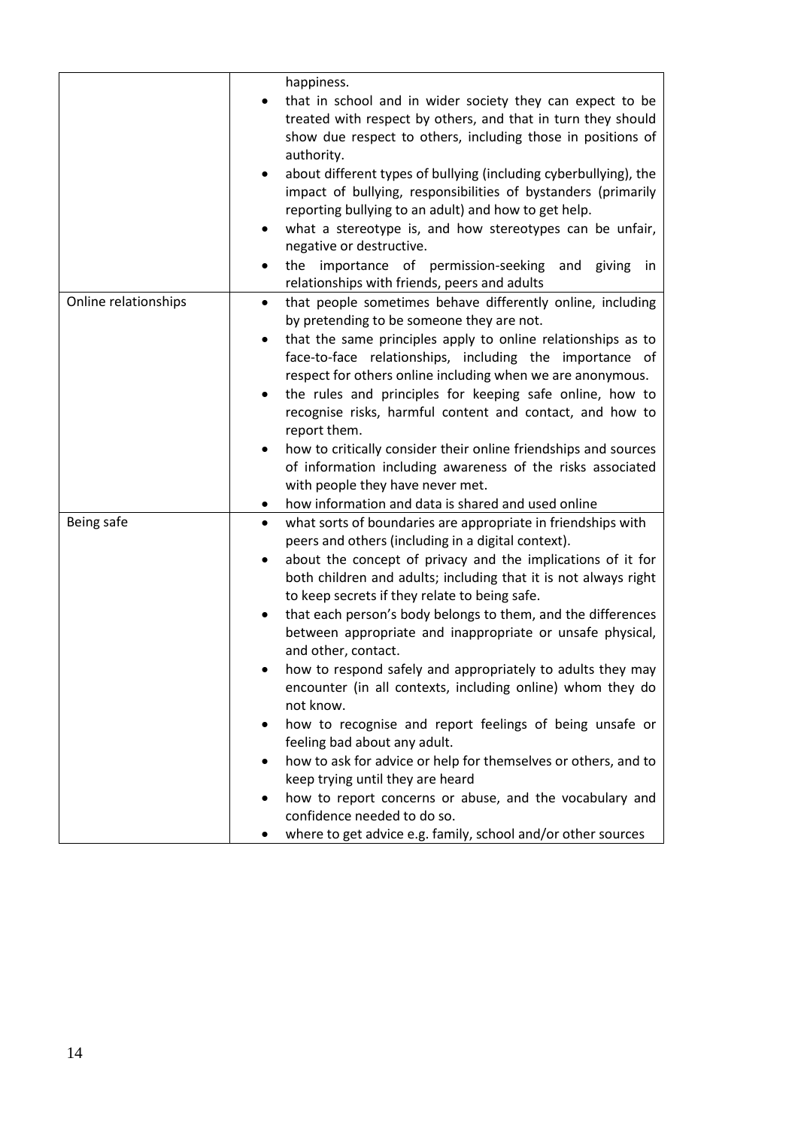|                      | happiness.                                                                                                                                                                                                                                                                                                                                                                                                                                                                                                                                                                                                                                                                                                                                                                                                                                                                                                                                                                                |
|----------------------|-------------------------------------------------------------------------------------------------------------------------------------------------------------------------------------------------------------------------------------------------------------------------------------------------------------------------------------------------------------------------------------------------------------------------------------------------------------------------------------------------------------------------------------------------------------------------------------------------------------------------------------------------------------------------------------------------------------------------------------------------------------------------------------------------------------------------------------------------------------------------------------------------------------------------------------------------------------------------------------------|
|                      | that in school and in wider society they can expect to be<br>$\bullet$<br>treated with respect by others, and that in turn they should<br>show due respect to others, including those in positions of<br>authority.<br>about different types of bullying (including cyberbullying), the<br>$\bullet$<br>impact of bullying, responsibilities of bystanders (primarily<br>reporting bullying to an adult) and how to get help.<br>what a stereotype is, and how stereotypes can be unfair,<br>negative or destructive.<br>the importance of permission-seeking<br>and giving<br>in<br>relationships with friends, peers and adults                                                                                                                                                                                                                                                                                                                                                         |
| Online relationships | that people sometimes behave differently online, including<br>$\bullet$<br>by pretending to be someone they are not.<br>that the same principles apply to online relationships as to<br>٠<br>face-to-face relationships, including the importance of<br>respect for others online including when we are anonymous.<br>the rules and principles for keeping safe online, how to<br>recognise risks, harmful content and contact, and how to<br>report them.<br>how to critically consider their online friendships and sources<br>of information including awareness of the risks associated<br>with people they have never met.                                                                                                                                                                                                                                                                                                                                                           |
|                      | how information and data is shared and used online                                                                                                                                                                                                                                                                                                                                                                                                                                                                                                                                                                                                                                                                                                                                                                                                                                                                                                                                        |
| Being safe           | what sorts of boundaries are appropriate in friendships with<br>$\bullet$<br>peers and others (including in a digital context).<br>about the concept of privacy and the implications of it for<br>both children and adults; including that it is not always right<br>to keep secrets if they relate to being safe.<br>that each person's body belongs to them, and the differences<br>٠<br>between appropriate and inappropriate or unsafe physical,<br>and other, contact.<br>how to respond safely and appropriately to adults they may<br>encounter (in all contexts, including online) whom they do<br>not know.<br>how to recognise and report feelings of being unsafe or<br>٠<br>feeling bad about any adult.<br>how to ask for advice or help for themselves or others, and to<br>keep trying until they are heard<br>how to report concerns or abuse, and the vocabulary and<br>٠<br>confidence needed to do so.<br>where to get advice e.g. family, school and/or other sources |